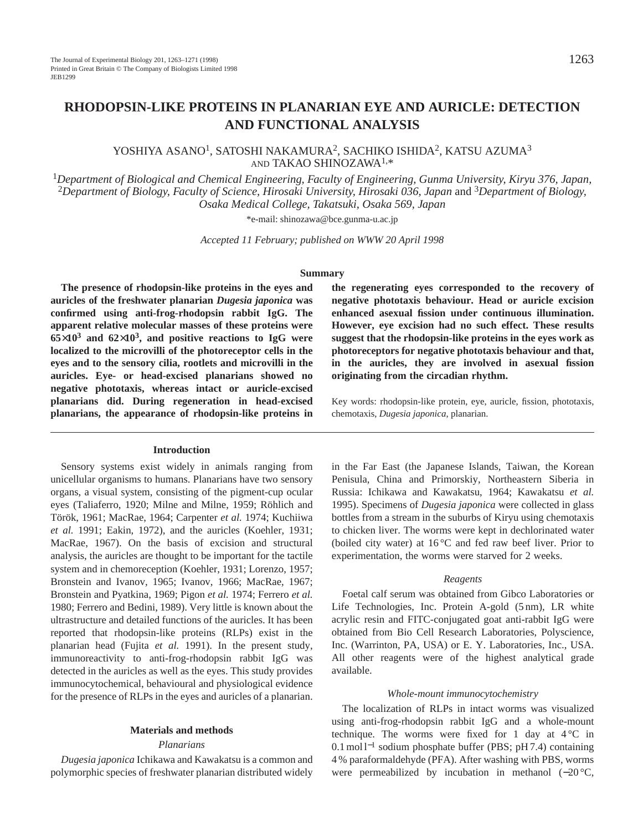# **RHODOPSIN-LIKE PROTEINS IN PLANARIAN EYE AND AURICLE: DETECTION AND FUNCTIONAL ANALYSIS**

YOSHIYA ASANO1, SATOSHI NAKAMURA2, SACHIKO ISHIDA2, KATSU AZUMA3 AND TAKAO SHINOZAWA1,\*

<sup>1</sup>*Department of Biological and Chemical Engineering, Faculty of Engineering, Gunma University, Kiryu 376, Japan,* <sup>2</sup>*Department of Biology, Faculty of Science, Hirosaki University, Hirosaki 036, Japan* and 3*Department of Biology, Osaka Medical College, Takatsuki, Osaka 569, Japan*

\*e-mail: shinozawa@bce.gunma-u.ac.jp

*Accepted 11 February; published on WWW 20 April 1998*

#### **Summary**

**The presence of rhodopsin-like proteins in the eyes and auricles of the freshwater planarian** *Dugesia japonica* **was confirmed using anti-frog-rhodopsin rabbit IgG. The apparent relative molecular masses of these proteins were 65**×**103 and 62**×**103, and positive reactions to IgG were localized to the microvilli of the photoreceptor cells in the eyes and to the sensory cilia, rootlets and microvilli in the auricles. Eye- or head-excised planarians showed no negative phototaxis, whereas intact or auricle-excised planarians did. During regeneration in head-excised planarians, the appearance of rhodopsin-like proteins in**

# **Introduction**

Sensory systems exist widely in animals ranging from unicellular organisms to humans. Planarians have two sensory organs, a visual system, consisting of the pigment-cup ocular eyes (Taliaferro, 1920; Milne and Milne, 1959; Röhlich and Török, 1961; MacRae, 1964; Carpenter *et al.* 1974; Kuchiiwa *et al.* 1991; Eakin, 1972), and the auricles (Koehler, 1931; MacRae, 1967). On the basis of excision and structural analysis, the auricles are thought to be important for the tactile system and in chemoreception (Koehler, 1931; Lorenzo, 1957; Bronstein and Ivanov, 1965; Ivanov, 1966; MacRae, 1967; Bronstein and Pyatkina, 1969; Pigon *et al.* 1974; Ferrero *et al.* 1980; Ferrero and Bedini, 1989). Very little is known about the ultrastructure and detailed functions of the auricles. It has been reported that rhodopsin-like proteins (RLPs) exist in the planarian head (Fujita *et al.* 1991). In the present study, immunoreactivity to anti-frog-rhodopsin rabbit IgG was detected in the auricles as well as the eyes. This study provides immunocytochemical, behavioural and physiological evidence for the presence of RLPs in the eyes and auricles of a planarian.

# **Materials and methods**

#### *Planarians*

*Dugesia japonica* Ichikawa and Kawakatsu is a common and polymorphic species of freshwater planarian distributed widely

**the regenerating eyes corresponded to the recovery of negative phototaxis behaviour. Head or auricle excision enhanced asexual fission under continuous illumination. However, eye excision had no such effect. These results suggest that the rhodopsin-like proteins in the eyes work as photoreceptors for negative phototaxis behaviour and that, in the auricles, they are involved in asexual fission originating from the circadian rhythm.**

Key words: rhodopsin-like protein, eye, auricle, fission, phototaxis, chemotaxis, *Dugesia japonica*, planarian.

in the Far East (the Japanese Islands, Taiwan, the Korean Penisula, China and Primorskiy, Northeastern Siberia in Russia: Ichikawa and Kawakatsu, 1964; Kawakatsu *et al.* 1995). Specimens of *Dugesia japonica* were collected in glass bottles from a stream in the suburbs of Kiryu using chemotaxis to chicken liver. The worms were kept in dechlorinated water (boiled city water) at  $16^{\circ}$ C and fed raw beef liver. Prior to experimentation, the worms were starved for 2 weeks.

# *Reagents*

Foetal calf serum was obtained from Gibco Laboratories or Life Technologies, Inc. Protein A-gold (5 nm), LR white acrylic resin and FITC-conjugated goat anti-rabbit IgG were obtained from Bio Cell Research Laboratories, Polyscience, Inc. (Warrinton, PA, USA) or E. Y. Laboratories, Inc., USA. All other reagents were of the highest analytical grade available.

#### *Whole-mount immunocytochemistry*

The localization of RLPs in intact worms was visualized using anti-frog-rhodopsin rabbit IgG and a whole-mount technique. The worms were fixed for 1 day at  $4^{\circ}$ C in 0.1 mol l<sup>−1</sup> sodium phosphate buffer (PBS; pH 7.4) containing 4 % paraformaldehyde (PFA). After washing with PBS, worms were permeabilized by incubation in methanol (−20 °C,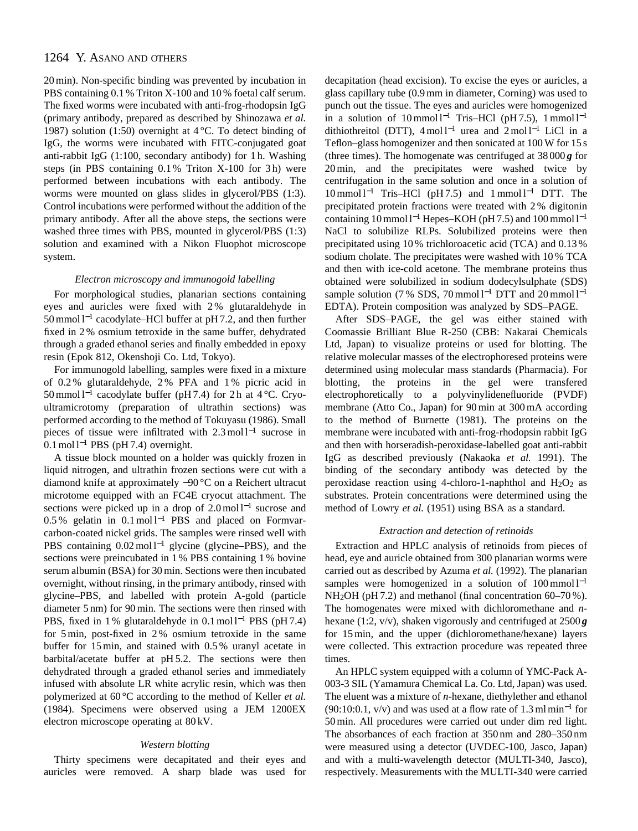# 1264 Y. ASANO AND OTHERS

20 min). Non-specific binding was prevented by incubation in PBS containing 0.1 % Triton X-100 and 10 % foetal calf serum. The fixed worms were incubated with anti-frog-rhodopsin IgG (primary antibody, prepared as described by Shinozawa *et al.* 1987) solution (1:50) overnight at  $4^{\circ}$ C. To detect binding of IgG, the worms were incubated with FITC-conjugated goat anti-rabbit IgG (1:100, secondary antibody) for 1 h. Washing steps (in PBS containing 0.1 % Triton X-100 for 3 h) were performed between incubations with each antibody. The worms were mounted on glass slides in glycerol/PBS (1:3). Control incubations were performed without the addition of the primary antibody. After all the above steps, the sections were washed three times with PBS, mounted in glycerol/PBS (1:3) solution and examined with a Nikon Fluophot microscope system.

### *Electron microscopy and immunogold labelling*

For morphological studies, planarian sections containing eyes and auricles were fixed with 2 % glutaraldehyde in 50 mmol l−<sup>1</sup> cacodylate–HCl buffer at pH 7.2, and then further fixed in 2 % osmium tetroxide in the same buffer, dehydrated through a graded ethanol series and finally embedded in epoxy resin (Epok 812, Okenshoji Co. Ltd, Tokyo).

For immunogold labelling, samples were fixed in a mixture of 0.2 % glutaraldehyde, 2 % PFA and 1 % picric acid in 50 mmol l−<sup>1</sup> cacodylate buffer (pH 7.4) for 2 h at 4 °C. Cryoultramicrotomy (preparation of ultrathin sections) was performed according to the method of Tokuyasu (1986). Small pieces of tissue were infiltrated with 2.3 mol l<sup>−1</sup> sucrose in  $0.1 \text{ mol}$ <sup>1-1</sup> PBS (pH 7.4) overnight.

A tissue block mounted on a holder was quickly frozen in liquid nitrogen, and ultrathin frozen sections were cut with a diamond knife at approximately −90 °C on a Reichert ultracut microtome equipped with an FC4E cryocut attachment. The sections were picked up in a drop of 2.0 mol l<sup>−1</sup> sucrose and 0.5 % gelatin in 0.1 mol l<sup>−1</sup> PBS and placed on Formvarcarbon-coated nickel grids. The samples were rinsed well with PBS containing 0.02 mol l<sup>−1</sup> glycine (glycine–PBS), and the sections were preincubated in 1 % PBS containing 1 % bovine serum albumin (BSA) for 30 min. Sections were then incubated overnight, without rinsing, in the primary antibody, rinsed with glycine–PBS, and labelled with protein A-gold (particle diameter 5 nm) for 90 min. The sections were then rinsed with PBS, fixed in 1 % glutaraldehyde in 0.1 mol l<sup>-1</sup> PBS (pH 7.4) for 5 min, post-fixed in 2 % osmium tetroxide in the same buffer for 15 min, and stained with 0.5 % uranyl acetate in barbital/acetate buffer at pH 5.2. The sections were then dehydrated through a graded ethanol series and immediately infused with absolute LR white acrylic resin, which was then polymerized at 60 °C according to the method of Keller *et al.* (1984). Specimens were observed using a JEM 1200EX electron microscope operating at 80 kV.

#### *Western blotting*

Thirty specimens were decapitated and their eyes and auricles were removed. A sharp blade was used for decapitation (head excision). To excise the eyes or auricles, a glass capillary tube (0.9 mm in diameter, Corning) was used to punch out the tissue. The eyes and auricles were homogenized in a solution of  $10 \text{ mmol } 1^{-1}$  Tris–HCl (pH 7.5),  $1 \text{ mmol } 1^{-1}$ dithiothreitol (DTT), 4 mol l<sup>-1</sup> urea and 2 mol l<sup>-1</sup> LiCl in a Teflon–glass homogenizer and then sonicated at 100 W for 15 s (three times). The homogenate was centrifuged at  $38000g$  for 20 min, and the precipitates were washed twice by centrifugation in the same solution and once in a solution of 10 mmol l−<sup>1</sup> Tris–HCl (pH 7.5) and 1 mmol l−<sup>1</sup> DTT. The precipitated protein fractions were treated with 2 % digitonin containing 10 mmol  $l^{-1}$  Hepes–KOH (pH 7.5) and 100 mmol  $l^{-1}$ NaCl to solubilize RLPs. Solubilized proteins were then precipitated using 10 % trichloroacetic acid (TCA) and 0.13 % sodium cholate. The precipitates were washed with 10 % TCA and then with ice-cold acetone. The membrane proteins thus obtained were solubilized in sodium dodecylsulphate (SDS) sample solution (7 % SDS, 70 mmol  $l^{-1}$  DTT and 20 mmol  $l^{-1}$ EDTA). Protein composition was analyzed by SDS–PAGE.

After SDS–PAGE, the gel was either stained with Coomassie Brilliant Blue R-250 (CBB: Nakarai Chemicals Ltd, Japan) to visualize proteins or used for blotting. The relative molecular masses of the electrophoresed proteins were determined using molecular mass standards (Pharmacia). For blotting, the proteins in the gel were transfered electrophoretically to a polyvinylidenefluoride (PVDF) membrane (Atto Co., Japan) for 90 min at 300 mA according to the method of Burnette (1981). The proteins on the membrane were incubated with anti-frog-rhodopsin rabbit IgG and then with horseradish-peroxidase-labelled goat anti-rabbit IgG as described previously (Nakaoka *et al.* 1991). The binding of the secondary antibody was detected by the peroxidase reaction using 4-chloro-1-naphthol and  $H_2O_2$  as substrates. Protein concentrations were determined using the method of Lowry *et al.* (1951) using BSA as a standard.

#### *Extraction and detection of retinoids*

Extraction and HPLC analysis of retinoids from pieces of head, eye and auricle obtained from 300 planarian worms were carried out as described by Azuma *et al.* (1992). The planarian samples were homogenized in a solution of  $100 \text{ mmol } l^{-1}$ NH<sub>2</sub>OH (pH 7.2) and methanol (final concentration 60–70%). The homogenates were mixed with dichloromethane and *n*hexane (1:2, v/v), shaken vigorously and centrifuged at 2500 *g* for 15 min, and the upper (dichloromethane/hexane) layers were collected. This extraction procedure was repeated three times.

An HPLC system equipped with a column of YMC-Pack A-003-3 SIL (Yamamura Chemical La. Co. Ltd, Japan) was used. The eluent was a mixture of *n*-hexane, diethylether and ethanol  $(90:10:0.1, v/v)$  and was used at a flow rate of 1.3 ml min<sup>-1</sup> for 50 min. All procedures were carried out under dim red light. The absorbances of each fraction at 350 nm and 280–350 nm were measured using a detector (UVDEC-100, Jasco, Japan) and with a multi-wavelength detector (MULTI-340, Jasco), respectively. Measurements with the MULTI-340 were carried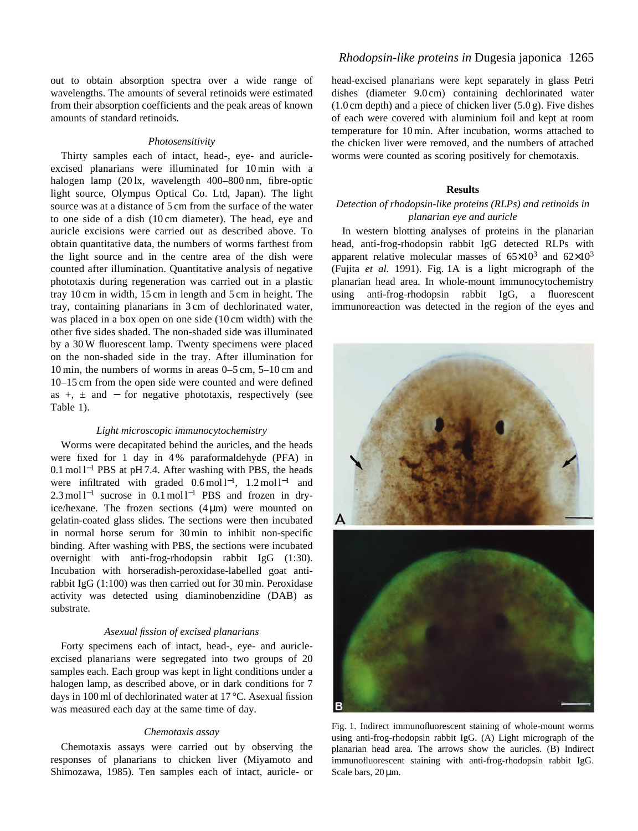out to obtain absorption spectra over a wide range of wavelengths. The amounts of several retinoids were estimated from their absorption coefficients and the peak areas of known amounts of standard retinoids.

#### *Photosensitivity*

Thirty samples each of intact, head-, eye- and auricleexcised planarians were illuminated for 10 min with a halogen lamp (20 lx, wavelength 400–800 nm, fibre-optic light source, Olympus Optical Co. Ltd, Japan). The light source was at a distance of 5 cm from the surface of the water to one side of a dish (10 cm diameter). The head, eye and auricle excisions were carried out as described above. To obtain quantitative data, the numbers of worms farthest from the light source and in the centre area of the dish were counted after illumination. Quantitative analysis of negative phototaxis during regeneration was carried out in a plastic tray 10 cm in width, 15 cm in length and 5 cm in height. The tray, containing planarians in 3 cm of dechlorinated water, was placed in a box open on one side (10 cm width) with the other five sides shaded. The non-shaded side was illuminated by a 30 W fluorescent lamp. Twenty specimens were placed on the non-shaded side in the tray. After illumination for 10 min, the numbers of worms in areas 0–5 cm, 5–10 cm and 10–15 cm from the open side were counted and were defined as  $+$ ,  $\pm$  and  $-$  for negative phototaxis, respectively (see Table 1).

#### *Light microscopic immunocytochemistry*

Worms were decapitated behind the auricles, and the heads were fixed for 1 day in 4 % paraformaldehyde (PFA) in 0.1 mol l−<sup>1</sup> PBS at pH 7.4. After washing with PBS, the heads were infiltrated with graded  $0.6 \text{ mol } l^{-1}$ ,  $1.2 \text{ mol } l^{-1}$  and  $2.3 \text{ mol}^{-1}$  sucrose in  $0.1 \text{ mol}^{-1}$  PBS and frozen in dryice/hexane. The frozen sections  $(4 \mu m)$  were mounted on gelatin-coated glass slides. The sections were then incubated in normal horse serum for 30 min to inhibit non-specific binding. After washing with PBS, the sections were incubated overnight with anti-frog-rhodopsin rabbit IgG (1:30). Incubation with horseradish-peroxidase-labelled goat antirabbit IgG (1:100) was then carried out for 30 min. Peroxidase activity was detected using diaminobenzidine (DAB) as substrate.

#### *Asexual fission of excised planarians*

Forty specimens each of intact, head-, eye- and auricleexcised planarians were segregated into two groups of 20 samples each. Each group was kept in light conditions under a halogen lamp, as described above, or in dark conditions for 7 days in 100 ml of dechlorinated water at 17 °C. Asexual fission was measured each day at the same time of day.

#### *Chemotaxis assay*

Chemotaxis assays were carried out by observing the responses of planarians to chicken liver (Miyamoto and Shimozawa, 1985). Ten samples each of intact, auricle- or head-excised planarians were kept separately in glass Petri dishes (diameter 9.0 cm) containing dechlorinated water  $(1.0 \text{ cm depth})$  and a piece of chicken liver  $(5.0 \text{ g})$ . Five dishes of each were covered with aluminium foil and kept at room temperature for 10 min. After incubation, worms attached to the chicken liver were removed, and the numbers of attached worms were counted as scoring positively for chemotaxis.

#### **Results**

# *Detection of rhodopsin-like proteins (RLPs) and retinoids in planarian eye and auricle*

In western blotting analyses of proteins in the planarian head, anti-frog-rhodopsin rabbit IgG detected RLPs with apparent relative molecular masses of  $65\times10^3$  and  $62\times10^3$ (Fujita *et al.* 1991). Fig. 1A is a light micrograph of the planarian head area. In whole-mount immunocytochemistry using anti-frog-rhodopsin rabbit IgG, a fluorescent immunoreaction was detected in the region of the eyes and



Fig. 1. Indirect immunofluorescent staining of whole-mount worms using anti-frog-rhodopsin rabbit IgG. (A) Light micrograph of the planarian head area. The arrows show the auricles. (B) Indirect immunofluorescent staining with anti-frog-rhodopsin rabbit IgG. Scale bars,  $20 \,\mu m$ .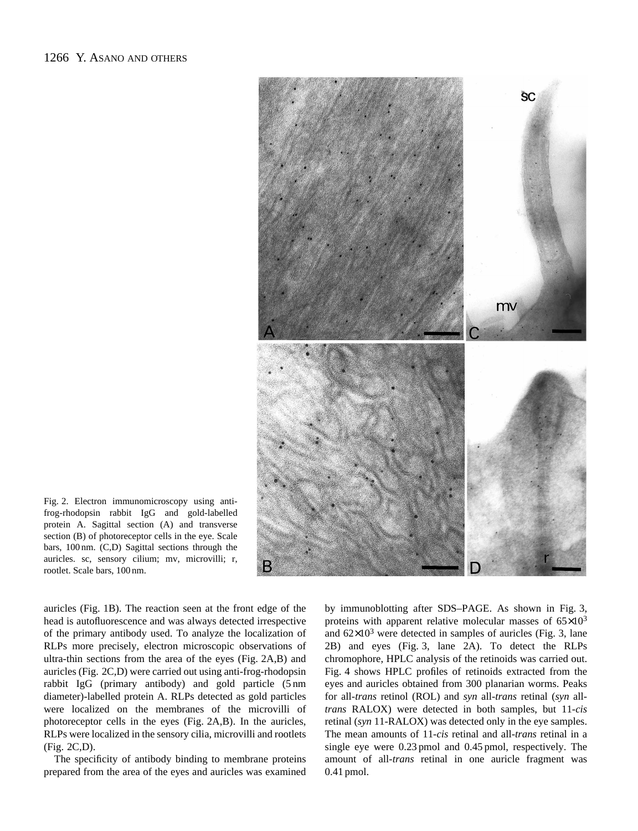

Fig. 2. Electron immunomicroscopy using antifrog-rhodopsin rabbit IgG and gold-labelled protein A. Sagittal section (A) and transverse section (B) of photoreceptor cells in the eye. Scale bars, 100 nm. (C,D) Sagittal sections through the auricles. sc, sensory cilium; mv, microvilli; r, rootlet. Scale bars, 100 nm.

auricles (Fig. 1B). The reaction seen at the front edge of the head is autofluorescence and was always detected irrespective of the primary antibody used. To analyze the localization of RLPs more precisely, electron microscopic observations of ultra-thin sections from the area of the eyes (Fig. 2A,B) and auricles (Fig. 2C,D) were carried out using anti-frog-rhodopsin rabbit IgG (primary antibody) and gold particle (5 nm diameter)-labelled protein A. RLPs detected as gold particles were localized on the membranes of the microvilli of photoreceptor cells in the eyes (Fig. 2A,B). In the auricles, RLPs were localized in the sensory cilia, microvilli and rootlets (Fig. 2C,D).

The specificity of antibody binding to membrane proteins prepared from the area of the eyes and auricles was examined

by immunoblotting after SDS–PAGE. As shown in Fig. 3, proteins with apparent relative molecular masses of  $65\times10^3$ and  $62\times10^3$  were detected in samples of auricles (Fig. 3, lane 2B) and eyes (Fig. 3, lane 2A). To detect the RLPs chromophore, HPLC analysis of the retinoids was carried out. Fig. 4 shows HPLC profiles of retinoids extracted from the eyes and auricles obtained from 300 planarian worms. Peaks for all-*trans* retinol (ROL) and *syn* all-*trans* retinal (*syn* all*trans* RALOX) were detected in both samples, but 11-*cis* retinal (*syn* 11-RALOX) was detected only in the eye samples. The mean amounts of 11-*cis* retinal and all-*trans* retinal in a single eye were 0.23 pmol and 0.45 pmol, respectively. The amount of all-*trans* retinal in one auricle fragment was 0.41 pmol.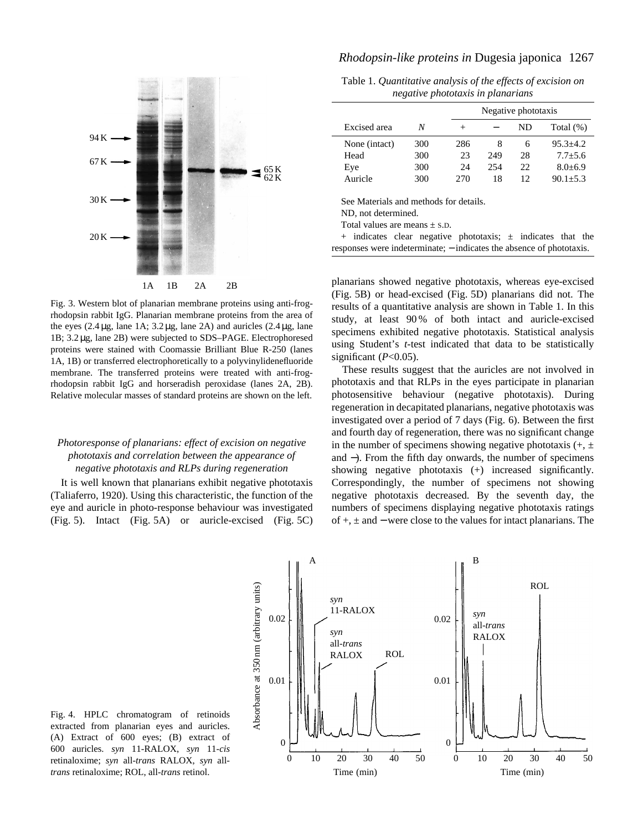

Fig. 3. Western blot of planarian membrane proteins using anti-frogrhodopsin rabbit IgG. Planarian membrane proteins from the area of the eyes  $(2.4 \mu$ g, lane 1A;  $3.2 \mu$ g, lane 2A) and auricles  $(2.4 \mu$ g, lane 1B; 3.2 µg, lane 2B) were subjected to SDS–PAGE. Electrophoresed proteins were stained with Coomassie Brilliant Blue R-250 (lanes 1A, 1B) or transferred electrophoretically to a polyvinylidenefluoride membrane. The transferred proteins were treated with anti-frogrhodopsin rabbit IgG and horseradish peroxidase (lanes 2A, 2B). Relative molecular masses of standard proteins are shown on the left.

# *Photoresponse of planarians: effect of excision on negative phototaxis and correlation between the appearance of negative phototaxis and RLPs during regeneration*

It is well known that planarians exhibit negative phototaxis (Taliaferro, 1920). Using this characteristic, the function of the eye and auricle in photo-response behaviour was investigated (Fig. 5). Intact (Fig. 5A) or auricle-excised (Fig. 5C)

# *Rhodopsin-like proteins in* Dugesia japonica 1267

Table 1. *Quantitative analysis of the effects of excision on negative phototaxis in planarians*

|               |     |        | Negative phototaxis |    |              |  |
|---------------|-----|--------|---------------------|----|--------------|--|
| Excised area  | N   | $^{+}$ |                     | ND | Total $(\%)$ |  |
| None (intact) | 300 | 286    | 8                   | 6  | $95.3 + 4.2$ |  |
| Head          | 300 | 23     | 249                 | 28 | $7.7 + 5.6$  |  |
| Eye           | 300 | 24     | 254                 | 22 | $8.0 + 6.9$  |  |
| Auricle       | 300 | 270    | 18                  | 12 | $90.1 + 5.3$ |  |

See Materials and methods for details.

ND, not determined.

Total values are means  $+$  S.D.

 $+$  indicates clear negative phototaxis;  $\pm$  indicates that the responses were indeterminate; − indicates the absence of phototaxis.

planarians showed negative phototaxis, whereas eye-excised (Fig. 5B) or head-excised (Fig. 5D) planarians did not. The results of a quantitative analysis are shown in Table 1. In this study, at least 90 % of both intact and auricle-excised specimens exhibited negative phototaxis. Statistical analysis using Student's *t*-test indicated that data to be statistically significant  $(P<0.05)$ .

These results suggest that the auricles are not involved in phototaxis and that RLPs in the eyes participate in planarian photosensitive behaviour (negative phototaxis). During regeneration in decapitated planarians, negative phototaxis was investigated over a period of 7 days (Fig. 6). Between the first and fourth day of regeneration, there was no significant change in the number of specimens showing negative phototaxis  $(+, \pm)$ and −). From the fifth day onwards, the number of specimens showing negative phototaxis (+) increased significantly. Correspondingly, the number of specimens not showing negative phototaxis decreased. By the seventh day, the numbers of specimens displaying negative phototaxis ratings of +, ± and − were close to the values for intact planarians. The



Fig. 4. HPLC chromatogram of retinoids extracted from planarian eyes and auricles. (A) Extract of 600 eyes; (B) extract of 600 auricles. *syn* 11-RALOX, *syn* 11-*cis* retinaloxime; *syn* all-*trans* RALOX, *syn* all*trans* retinaloxime; ROL, all-*trans* retinol.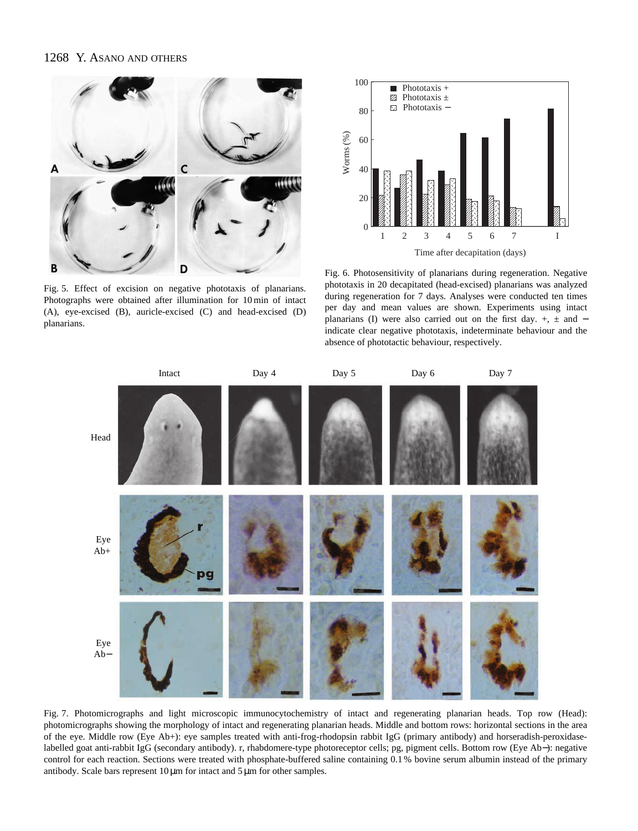### 1268 Y. ASANO AND OTHERS



Fig. 5. Effect of excision on negative phototaxis of planarians. Photographs were obtained after illumination for 10 min of intact (A), eye-excised (B), auricle-excised (C) and head-excised (D) planarians.



Fig. 6. Photosensitivity of planarians during regeneration. Negative phototaxis in 20 decapitated (head-excised) planarians was analyzed during regeneration for 7 days. Analyses were conducted ten times per day and mean values are shown. Experiments using intact planarians (I) were also carried out on the first day.  $+$ ,  $\pm$  and  $$ indicate clear negative phototaxis, indeterminate behaviour and the absence of phototactic behaviour, respectively.



Fig. 7. Photomicrographs and light microscopic immunocytochemistry of intact and regenerating planarian heads. Top row (Head): photomicrographs showing the morphology of intact and regenerating planarian heads. Middle and bottom rows: horizontal sections in the area of the eye. Middle row (Eye Ab+): eye samples treated with anti-frog-rhodopsin rabbit IgG (primary antibody) and horseradish-peroxidaselabelled goat anti-rabbit IgG (secondary antibody). r, rhabdomere-type photoreceptor cells; pg, pigment cells. Bottom row (Eye Ab−): negative control for each reaction. Sections were treated with phosphate-buffered saline containing 0.1 % bovine serum albumin instead of the primary antibody. Scale bars represent 10 µm for intact and 5 µm for other samples.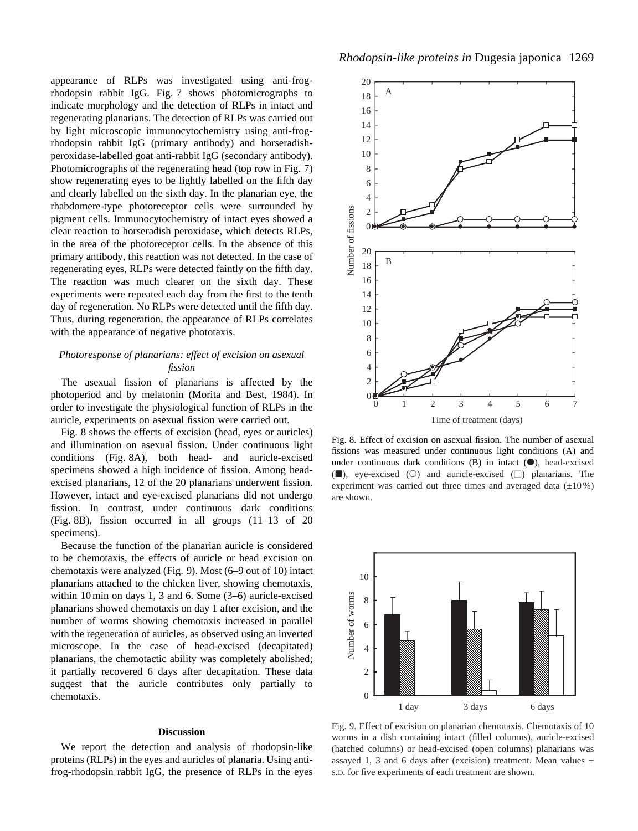appearance of RLPs was investigated using anti-frogrhodopsin rabbit IgG. Fig. 7 shows photomicrographs to indicate morphology and the detection of RLPs in intact and regenerating planarians. The detection of RLPs was carried out by light microscopic immunocytochemistry using anti-frogrhodopsin rabbit IgG (primary antibody) and horseradishperoxidase-labelled goat anti-rabbit IgG (secondary antibody). Photomicrographs of the regenerating head (top row in Fig. 7) show regenerating eyes to be lightly labelled on the fifth day and clearly labelled on the sixth day. In the planarian eye, the rhabdomere-type photoreceptor cells were surrounded by pigment cells. Immunocytochemistry of intact eyes showed a clear reaction to horseradish peroxidase, which detects RLPs, in the area of the photoreceptor cells. In the absence of this primary antibody, this reaction was not detected. In the case of regenerating eyes, RLPs were detected faintly on the fifth day. The reaction was much clearer on the sixth day. These experiments were repeated each day from the first to the tenth day of regeneration. No RLPs were detected until the fifth day. Thus, during regeneration, the appearance of RLPs correlates with the appearance of negative phototaxis.

### *Photoresponse of planarians: effect of excision on asexual fission*

The asexual fission of planarians is affected by the photoperiod and by melatonin (Morita and Best, 1984). In order to investigate the physiological function of RLPs in the auricle, experiments on asexual fission were carried out.

Fig. 8 shows the effects of excision (head, eyes or auricles) and illumination on asexual fission. Under continuous light conditions (Fig. 8A), both head- and auricle-excised specimens showed a high incidence of fission. Among headexcised planarians, 12 of the 20 planarians underwent fission. However, intact and eye-excised planarians did not undergo fission. In contrast, under continuous dark conditions (Fig. 8B), fission occurred in all groups (11–13 of 20 specimens).

Because the function of the planarian auricle is considered to be chemotaxis, the effects of auricle or head excision on chemotaxis were analyzed (Fig. 9). Most (6–9 out of 10) intact planarians attached to the chicken liver, showing chemotaxis, within 10 min on days 1, 3 and 6. Some (3–6) auricle-excised planarians showed chemotaxis on day 1 after excision, and the number of worms showing chemotaxis increased in parallel with the regeneration of auricles, as observed using an inverted microscope. In the case of head-excised (decapitated) planarians, the chemotactic ability was completely abolished; it partially recovered 6 days after decapitation. These data suggest that the auricle contributes only partially to chemotaxis.

#### **Discussion**

We report the detection and analysis of rhodopsin-like proteins (RLPs) in the eyes and auricles of planaria. Using antifrog-rhodopsin rabbit IgG, the presence of RLPs in the eyes



Fig. 8. Effect of excision on asexual fission. The number of asexual fissions was measured under continuous light conditions (A) and under continuous dark conditions  $(B)$  in intact  $(①)$ , head-excised  $(\blacksquare)$ , eye-excised  $(O)$  and auricle-excised  $(\square)$  planarians. The experiment was carried out three times and averaged data  $(\pm 10\%)$ are shown.



Fig. 9. Effect of excision on planarian chemotaxis. Chemotaxis of 10 worms in a dish containing intact (filled columns), auricle-excised (hatched columns) or head-excised (open columns) planarians was assayed 1, 3 and 6 days after (excision) treatment. Mean values + S.D. for five experiments of each treatment are shown.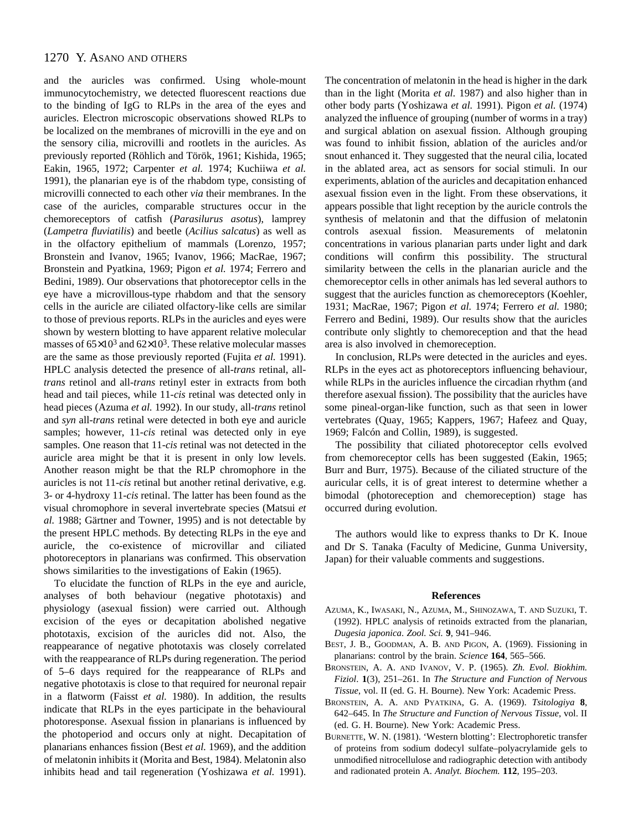# 1270 Y. ASANO AND OTHERS

and the auricles was confirmed. Using whole-mount immunocytochemistry, we detected fluorescent reactions due to the binding of IgG to RLPs in the area of the eyes and auricles. Electron microscopic observations showed RLPs to be localized on the membranes of microvilli in the eye and on the sensory cilia, microvilli and rootlets in the auricles. As previously reported (Röhlich and Török, 1961; Kishida, 1965; Eakin, 1965, 1972; Carpenter *et al.* 1974; Kuchiiwa *et al.* 1991), the planarian eye is of the rhabdom type, consisting of microvilli connected to each other *via* their membranes. In the case of the auricles, comparable structures occur in the chemoreceptors of catfish (*Parasilurus asotus*), lamprey (*Lampetra fluviatilis*) and beetle (*Acilius salcatus*) as well as in the olfactory epithelium of mammals (Lorenzo, 1957; Bronstein and Ivanov, 1965; Ivanov, 1966; MacRae, 1967; Bronstein and Pyatkina, 1969; Pigon *et al.* 1974; Ferrero and Bedini, 1989). Our observations that photoreceptor cells in the eye have a microvillous-type rhabdom and that the sensory cells in the auricle are ciliated olfactory-like cells are similar to those of previous reports. RLPs in the auricles and eyes were shown by western blotting to have apparent relative molecular masses of  $65\times10^3$  and  $62\times10^3$ . These relative molecular masses are the same as those previously reported (Fujita *et al.* 1991). HPLC analysis detected the presence of all-*trans* retinal, all*trans* retinol and all-*trans* retinyl ester in extracts from both head and tail pieces, while 11-*cis* retinal was detected only in head pieces (Azuma *et al.* 1992). In our study, all-*trans* retinol and *syn* all-*trans* retinal were detected in both eye and auricle samples; however, 11-*cis* retinal was detected only in eye samples. One reason that 11-*cis* retinal was not detected in the auricle area might be that it is present in only low levels. Another reason might be that the RLP chromophore in the auricles is not 11-*cis* retinal but another retinal derivative, e.g. 3- or 4-hydroxy 11-*cis* retinal. The latter has been found as the visual chromophore in several invertebrate species (Matsui *et al.* 1988; Gärtner and Towner, 1995) and is not detectable by the present HPLC methods. By detecting RLPs in the eye and auricle, the co-existence of microvillar and ciliated photoreceptors in planarians was confirmed. This observation shows similarities to the investigations of Eakin (1965).

To elucidate the function of RLPs in the eye and auricle, analyses of both behaviour (negative phototaxis) and physiology (asexual fission) were carried out. Although excision of the eyes or decapitation abolished negative phototaxis, excision of the auricles did not. Also, the reappearance of negative phototaxis was closely correlated with the reappearance of RLPs during regeneration. The period of 5–6 days required for the reappearance of RLPs and negative phototaxis is close to that required for neuronal repair in a flatworm (Faisst *et al.* 1980). In addition, the results indicate that RLPs in the eyes participate in the behavioural photoresponse. Asexual fission in planarians is influenced by the photoperiod and occurs only at night. Decapitation of planarians enhances fission (Best *et al.* 1969), and the addition of melatonin inhibits it (Morita and Best, 1984). Melatonin also inhibits head and tail regeneration (Yoshizawa *et al.* 1991).

The concentration of melatonin in the head is higher in the dark than in the light (Morita *et al.* 1987) and also higher than in other body parts (Yoshizawa *et al.* 1991). Pigon *et al.* (1974) analyzed the influence of grouping (number of worms in a tray) and surgical ablation on asexual fission. Although grouping was found to inhibit fission, ablation of the auricles and/or snout enhanced it. They suggested that the neural cilia, located in the ablated area, act as sensors for social stimuli. In our experiments, ablation of the auricles and decapitation enhanced asexual fission even in the light. From these observations, it appears possible that light reception by the auricle controls the synthesis of melatonin and that the diffusion of melatonin controls asexual fission. Measurements of melatonin concentrations in various planarian parts under light and dark conditions will confirm this possibility. The structural similarity between the cells in the planarian auricle and the chemoreceptor cells in other animals has led several authors to suggest that the auricles function as chemoreceptors (Koehler, 1931; MacRae, 1967; Pigon *et al.* 1974; Ferrero *et al.* 1980; Ferrero and Bedini, 1989). Our results show that the auricles contribute only slightly to chemoreception and that the head area is also involved in chemoreception.

In conclusion, RLPs were detected in the auricles and eyes. RLPs in the eyes act as photoreceptors influencing behaviour, while RLPs in the auricles influence the circadian rhythm (and therefore asexual fission). The possibility that the auricles have some pineal-organ-like function, such as that seen in lower vertebrates (Quay, 1965; Kappers, 1967; Hafeez and Quay, 1969; Falcón and Collin, 1989), is suggested.

The possibility that ciliated photoreceptor cells evolved from chemoreceptor cells has been suggested (Eakin, 1965; Burr and Burr, 1975). Because of the ciliated structure of the auricular cells, it is of great interest to determine whether a bimodal (photoreception and chemoreception) stage has occurred during evolution.

The authors would like to express thanks to Dr K. Inoue and Dr S. Tanaka (Faculty of Medicine, Gunma University, Japan) for their valuable comments and suggestions.

#### **References**

- AZUMA, K., IWASAKI, N., AZUMA, M., SHINOZAWA, T. AND SUZUKI, T. (1992). HPLC analysis of retinoids extracted from the planarian, *Dugesia japonica*. *Zool. Sci.* **9**, 941–946.
- BEST, J. B., GOODMAN, A. B. AND PIGON, A. (1969). Fissioning in planarians: control by the brain. *Science* **164**, 565–566.
- BRONSTEIN, A. A. AND IVANOV, V. P. (1965). *Zh. Evol. Biokhim. Fiziol*. **1**(3), 251–261. In *The Structure and Function of Nervous Tissue*, vol. II (ed. G. H. Bourne). New York: Academic Press.
- BRONSTEIN, A. A. AND PYATKINA, G. A. (1969). *Tsitologiya* **8**, 642–645. In *The Structure and Function of Nervous Tissue*, vol. II (ed. G. H. Bourne). New York: Academic Press.
- BURNETTE, W. N. (1981). 'Western blotting': Electrophoretic transfer of proteins from sodium dodecyl sulfate–polyacrylamide gels to unmodified nitrocellulose and radiographic detection with antibody and radionated protein A. *Analyt. Biochem.* **112**, 195–203.